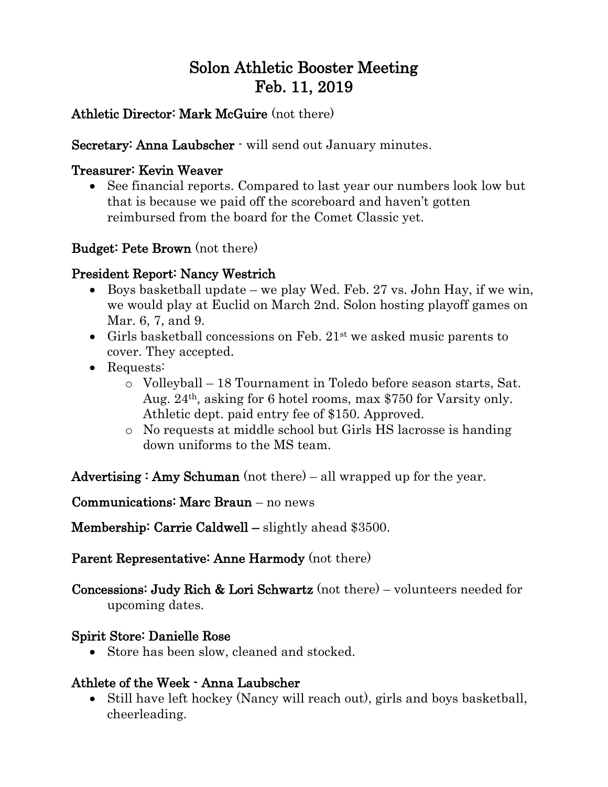# Solon Athletic Booster Meeting Feb. 11, 2019

## Athletic Director: Mark McGuire (not there)

Secretary: Anna Laubscher  $\cdot$  will send out January minutes.

#### Treasurer: Kevin Weaver

• See financial reports. Compared to last year our numbers look low but that is because we paid off the scoreboard and haven't gotten reimbursed from the board for the Comet Classic yet.

# Budget: Pete Brown (not there)

# President Report: Nancy Westrich

- Boys basketball update we play Wed. Feb. 27 vs. John Hay, if we win, we would play at Euclid on March 2nd. Solon hosting playoff games on Mar. 6, 7, and 9.
- Girls basketball concessions on Feb.  $21^{st}$  we asked music parents to cover. They accepted.
- Requests:
	- o Volleyball 18 Tournament in Toledo before season starts, Sat. Aug. 24th, asking for 6 hotel rooms, max \$750 for Varsity only. Athletic dept. paid entry fee of \$150. Approved.
	- o No requests at middle school but Girls HS lacrosse is handing down uniforms to the MS team.

Advertising : Amy Schuman (not there) – all wrapped up for the year.

#### Communications: Marc Braun – no news

Membership: Carrie Caldwell – slightly ahead \$3500.

#### Parent Representative: Anne Harmody (not there)

Concessions: Judy Rich & Lori Schwartz (not there) – volunteers needed for upcoming dates.

#### Spirit Store: Danielle Rose

• Store has been slow, cleaned and stocked.

#### Athlete of the Week - Anna Laubscher

• Still have left hockey (Nancy will reach out), girls and boys basketball, cheerleading.